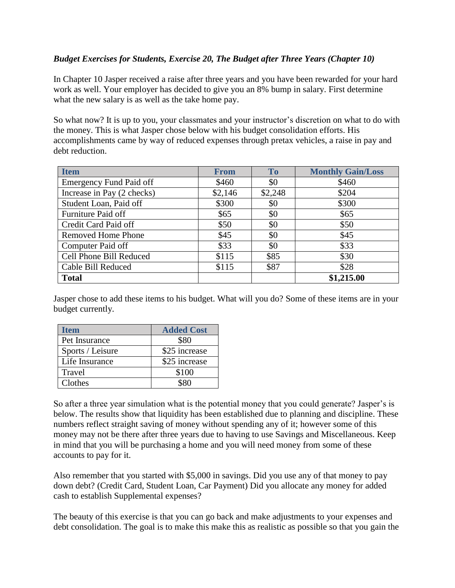## *Budget Exercises for Students, Exercise 20, The Budget after Three Years (Chapter 10)*

In Chapter 10 Jasper received a raise after three years and you have been rewarded for your hard work as well. Your employer has decided to give you an 8% bump in salary. First determine what the new salary is as well as the take home pay.

So what now? It is up to you, your classmates and your instructor's discretion on what to do with the money. This is what Jasper chose below with his budget consolidation efforts. His accomplishments came by way of reduced expenses through pretax vehicles, a raise in pay and debt reduction.

| <b>Item</b>                    | <b>From</b> | <b>To</b> | <b>Monthly Gain/Loss</b> |
|--------------------------------|-------------|-----------|--------------------------|
| <b>Emergency Fund Paid off</b> | \$460       | \$0       | \$460                    |
| Increase in Pay (2 checks)     | \$2,146     | \$2,248   | \$204                    |
| Student Loan, Paid off         | \$300       | \$0       | \$300                    |
| Furniture Paid off             | \$65        | \$0       | \$65                     |
| Credit Card Paid off           | \$50        | \$0       | \$50                     |
| <b>Removed Home Phone</b>      | \$45        | \$0       | \$45                     |
| Computer Paid off              | \$33        | \$0       | \$33                     |
| Cell Phone Bill Reduced        | \$115       | \$85      | \$30                     |
| Cable Bill Reduced             | \$115       | \$87      | \$28                     |
| <b>Total</b>                   |             |           | \$1,215.00               |

Jasper chose to add these items to his budget. What will you do? Some of these items are in your budget currently.

| Item             | <b>Added Cost</b> |
|------------------|-------------------|
| Pet Insurance    | \$80              |
| Sports / Leisure | \$25 increase     |
| Life Insurance   | \$25 increase     |
| Travel           | \$100             |
| Clothes          | 980               |

So after a three year simulation what is the potential money that you could generate? Jasper's is below. The results show that liquidity has been established due to planning and discipline. These numbers reflect straight saving of money without spending any of it; however some of this money may not be there after three years due to having to use Savings and Miscellaneous. Keep in mind that you will be purchasing a home and you will need money from some of these accounts to pay for it.

Also remember that you started with \$5,000 in savings. Did you use any of that money to pay down debt? (Credit Card, Student Loan, Car Payment) Did you allocate any money for added cash to establish Supplemental expenses?

The beauty of this exercise is that you can go back and make adjustments to your expenses and debt consolidation. The goal is to make this make this as realistic as possible so that you gain the